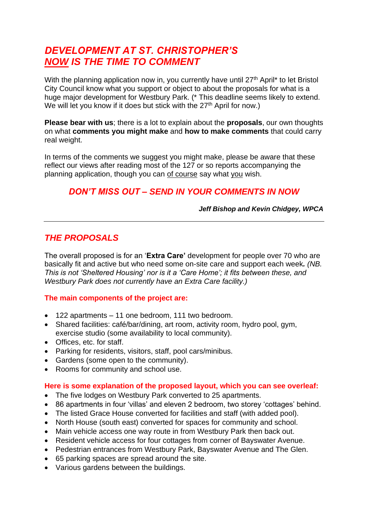# *DEVELOPMENT AT ST. CHRISTOPHER'S NOW IS THE TIME TO COMMENT*

With the planning application now in, you currently have until  $27<sup>th</sup>$  April<sup>\*</sup> to let Bristol City Council know what you support or object to about the proposals for what is a huge major development for Westbury Park. (\* This deadline seems likely to extend. We will let you know if it does but stick with the 27<sup>th</sup> April for now.)

**Please bear with us**; there is a lot to explain about the **proposals**, our own thoughts on what **comments you might make** and **how to make comments** that could carry real weight.

In terms of the comments we suggest you might make, please be aware that these reflect our views after reading most of the 127 or so reports accompanying the planning application, though you can of course say what you wish.

# *DON'T MISS OUT – SEND IN YOUR COMMENTS IN NOW*

*Jeff Bishop and Kevin Chidgey, WPCA*

# *THE PROPOSALS*

The overall proposed is for an '**Extra Care'** development for people over 70 who are basically fit and active but who need some on-site care and support each week*. (NB. This is not 'Sheltered Housing' nor is it a 'Care Home'; it fits between these, and Westbury Park does not currently have an Extra Care facility.)*

#### **The main components of the project are:**

- 122 apartments 11 one bedroom, 111 two bedroom.
- Shared facilities: café/bar/dining, art room, activity room, hydro pool, gym, exercise studio (some availability to local community).
- Offices, etc. for staff.
- Parking for residents, visitors, staff, pool cars/minibus.
- Gardens (some open to the community).
- Rooms for community and school use.

#### **Here is some explanation of the proposed layout, which you can see overleaf:**

- The five lodges on Westbury Park converted to 25 apartments.
- 86 apartments in four 'villas' and eleven 2 bedroom, two storey 'cottages' behind.
- The listed Grace House converted for facilities and staff (with added pool).
- North House (south east) converted for spaces for community and school.
- Main vehicle access one way route in from Westbury Park then back out.
- Resident vehicle access for four cottages from corner of Bayswater Avenue.
- Pedestrian entrances from Westbury Park, Bayswater Avenue and The Glen.
- 65 parking spaces are spread around the site.
- Various gardens between the buildings.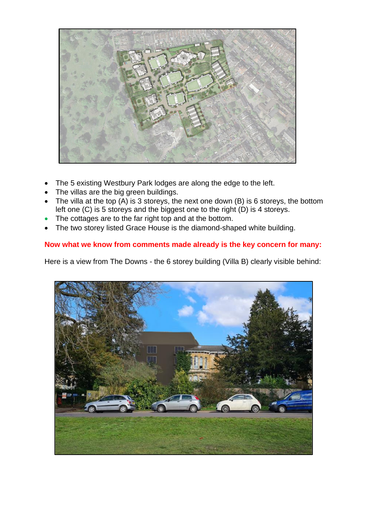

- The 5 existing Westbury Park lodges are along the edge to the left.
- The villas are the big green buildings.
- The villa at the top  $(A)$  is 3 storeys, the next one down  $(B)$  is 6 storeys, the bottom left one (C) is 5 storeys and the biggest one to the right (D) is 4 storeys.
- The cottages are to the far right top and at the bottom.
- The two storey listed Grace House is the diamond-shaped white building.

### **Now what we know from comments made already is the key concern for many:**

Here is a view from The Downs - the 6 storey building (Villa B) clearly visible behind:

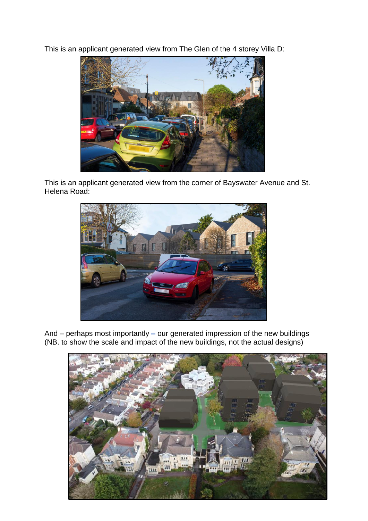This is an applicant generated view from The Glen of the 4 storey Villa D:



This is an applicant generated view from the corner of Bayswater Avenue and St. Helena Road:



And – perhaps most importantly **–** our generated impression of the new buildings (NB. to show the scale and impact of the new buildings, not the actual designs)

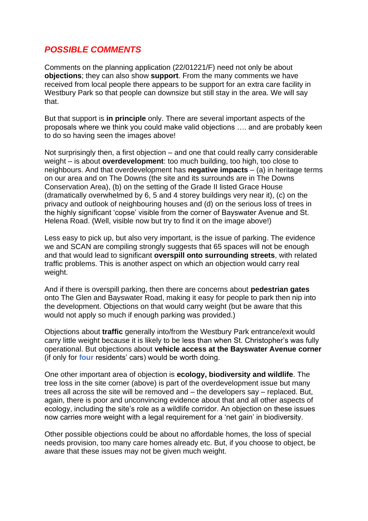# *POSSIBLE COMMENTS*

Comments on the planning application (22/01221/F) need not only be about **objections**; they can also show **support**. From the many comments we have received from local people there appears to be support for an extra care facility in Westbury Park so that people can downsize but still stay in the area. We will say that.

But that support is **in principle** only. There are several important aspects of the proposals where we think you could make valid objections …. and are probably keen to do so having seen the images above!

Not surprisingly then, a first objection – and one that could really carry considerable weight – is about **overdevelopment**: too much building, too high, too close to neighbours. And that overdevelopment has **negative impacts** – (a) in heritage terms on our area and on The Downs (the site and its surrounds are in The Downs Conservation Area), (b) on the setting of the Grade II listed Grace House (dramatically overwhelmed by 6, 5 and 4 storey buildings very near it), (c) on the privacy and outlook of neighbouring houses and (d) on the serious loss of trees in the highly significant 'copse' visible from the corner of Bayswater Avenue and St. Helena Road. (Well, visible now but try to find it on the image above!)

Less easy to pick up, but also very important, is the issue of parking. The evidence we and SCAN are compiling strongly suggests that 65 spaces will not be enough and that would lead to significant **overspill onto surrounding streets**, with related traffic problems. This is another aspect on which an objection would carry real weight.

And if there is overspill parking, then there are concerns about **pedestrian gates** onto The Glen and Bayswater Road, making it easy for people to park then nip into the development. Objections on that would carry weight (but be aware that this would not apply so much if enough parking was provided.)

Objections about **traffic** generally into/from the Westbury Park entrance/exit would carry little weight because it is likely to be less than when St. Christopher's was fully operational. But objections about **vehicle access at the Bayswater Avenue corner** (if only for **four** residents' cars) would be worth doing.

One other important area of objection is **ecology, biodiversity and wildlife**. The tree loss in the site corner (above) is part of the overdevelopment issue but many trees all across the site will be removed and – the developers say – replaced. But, again, there is poor and unconvincing evidence about that and all other aspects of ecology, including the site's role as a wildlife corridor. An objection on these issues now carries more weight with a legal requirement for a 'net gain' in biodiversity.

Other possible objections could be about no affordable homes, the loss of special needs provision, too many care homes already etc. But, if you choose to object, be aware that these issues may not be given much weight.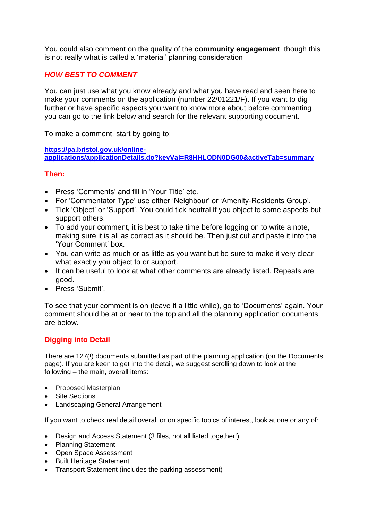You could also comment on the quality of the **community engagement**, though this is not really what is called a 'material' planning consideration

### *HOW BEST TO COMMENT*

You can just use what you know already and what you have read and seen here to make your comments on the application (number 22/01221/F). If you want to dig further or have specific aspects you want to know more about before commenting you can go to the link below and search for the relevant supporting document.

To make a comment, start by going to:

**[https://pa.bristol.gov.uk/online-](https://pa.bristol.gov.uk/online-applications/applicationDetails.do?keyVal=R8HHLODN0DG00&activeTab=summary)**

**[applications/applicationDetails.do?keyVal=R8HHLODN0DG00&activeTab=summary](https://pa.bristol.gov.uk/online-applications/applicationDetails.do?keyVal=R8HHLODN0DG00&activeTab=summary)**

#### **Then:**

- Press 'Comments' and fill in 'Your Title' etc.
- For 'Commentator Type' use either 'Neighbour' or 'Amenity-Residents Group'.
- Tick 'Object' or 'Support'. You could tick neutral if you object to some aspects but support others.
- To add your comment, it is best to take time before logging on to write a note, making sure it is all as correct as it should be. Then just cut and paste it into the 'Your Comment' box.
- You can write as much or as little as you want but be sure to make it very clear what exactly you object to or support.
- It can be useful to look at what other comments are already listed. Repeats are good.
- Press 'Submit'.

To see that your comment is on (leave it a little while), go to 'Documents' again. Your comment should be at or near to the top and all the planning application documents are below.

#### **Digging into Detail**

There are 127(!) documents submitted as part of the planning application (on the Documents page). If you are keen to get into the detail, we suggest scrolling down to look at the following – the main, overall items:

- Proposed Masterplan
- Site Sections
- Landscaping General Arrangement

If you want to check real detail overall or on specific topics of interest, look at one or any of:

- Design and Access Statement (3 files, not all listed together!)
- Planning Statement
- Open Space Assessment
- Built Heritage Statement
- Transport Statement (includes the parking assessment)